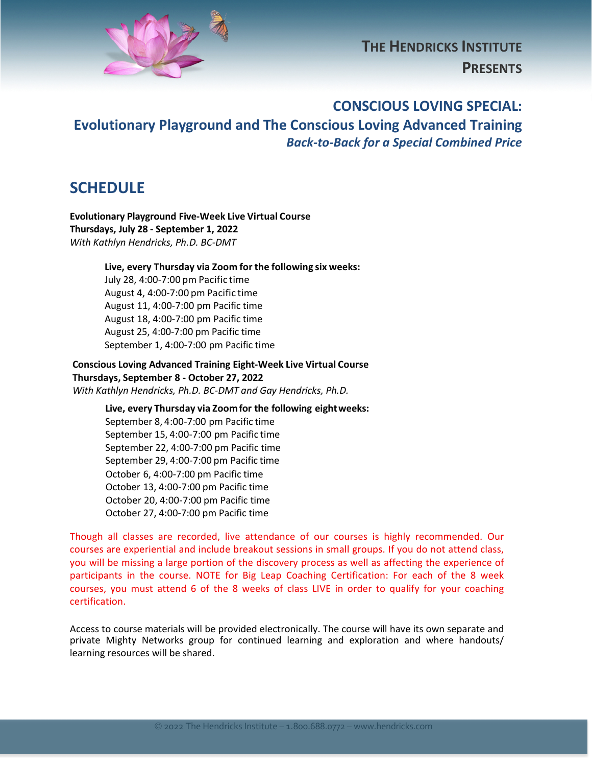

# **THE HENDRICKS INSTITUTE PRESENTS**

#### **CONSCIOUS LOVING SPECIAL:**

## **Evolutionary Playground and The Conscious Loving Advanced Training** *Back-to-Back for a Special Combined Price*

#### **SCHEDULE**

**Evolutionary Playground Five-Week Live Virtual Course Thursdays, July 28 - September 1, 2022** *With Kathlyn Hendricks, Ph.D. BC-DMT*

**Live, every Thursday via Zoom for the following six weeks:** 

July 28, 4:00-7:00 pm Pacific time August 4, 4:00-7:00 pm Pacific time August 11, 4:00-7:00 pm Pacific time August 18, 4:00-7:00 pm Pacific time August 25, 4:00-7:00 pm Pacific time September 1, 4:00-7:00 pm Pacific time

**Conscious Loving Advanced Training Eight-Week Live Virtual Course Thursdays, September 8 - October 27, 2022** *With Kathlyn Hendricks, Ph.D. BC-DMT and Gay Hendricks, Ph.D.*

> **Live, every Thursday via Zoomfor the following eightweeks:**  September 8, 4:00-7:00 pm Pacific time September 15, 4:00-7:00 pm Pacific time September 22, 4:00-7:00 pm Pacific time September 29, 4:00-7:00 pm Pacific time October 6, 4:00-7:00 pm Pacific time October 13, 4:00-7:00 pm Pacific time October 20, 4:00-7:00 pm Pacific time October 27, 4:00-7:00 pm Pacific time

Though all classes are recorded, live attendance of our courses is highly recommended. Our courses are experiential and include breakout sessions in small groups. If you do not attend class, you will be missing a large portion of the discovery process as well as affecting the experience of participants in the course. NOTE for Big Leap Coaching Certification: For each of the 8 week courses, you must attend 6 of the 8 weeks of class LIVE in order to qualify for your coaching certification.

Access to course materials will be provided electronically. The course will have its own separate and private Mighty Networks group for continued learning and exploration and where handouts/ learning resources will be shared.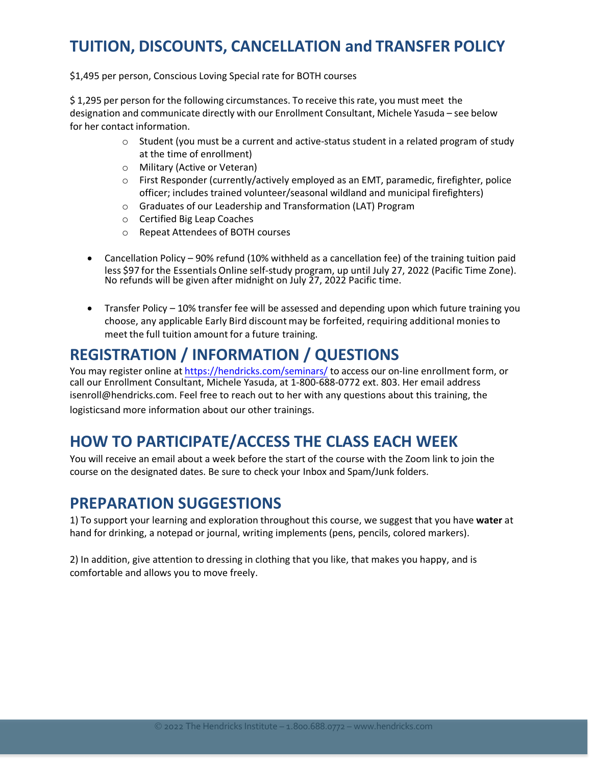# **TUITION, DISCOUNTS, CANCELLATION and TRANSFER POLICY**

\$1,495 per person, Conscious Loving Special rate for BOTH courses

\$ 1,295 per person for the following circumstances. To receive this rate, you must meet the designation and communicate directly with our Enrollment Consultant, Michele Yasuda – see below for her contact information.

- $\circ$  Student (you must be a current and active-status student in a related program of study at the time of enrollment)
- o Military (Active or Veteran)
- o First Responder (currently/actively employed as an EMT, paramedic, firefighter, police officer; includes trained volunteer/seasonal wildland and municipal firefighters)
- o Graduates of our Leadership and Transformation (LAT) Program
- o Certified Big Leap Coaches
- o Repeat Attendees of BOTH courses
- Cancellation Policy 90% refund (10% withheld as a cancellation fee) of the training tuition paid less \$97 for the Essentials Online self-study program, up until July 27, 2022 (Pacific Time Zone). No refunds will be given after midnight on July 27, 2022 Pacific time.
- Transfer Policy 10% transfer fee will be assessed and depending upon which future training you choose, any applicable Early Bird discount may be forfeited, requiring additional moniesto meet the full tuition amount for a future training.

# **REGISTRATION / INFORMATION / QUESTIONS**

You may register online at https://hendricks.com/seminars/ to access our on-line enrollment form, or call our Enrollment Consultant, Michele Yasuda, at 1-800-688-0772 ext. 803. Her email address isenroll@hendricks.com. Feel free to reach out to her with any questions about this training, the logisticsand more information about our other trainings.

### **HOW TO PARTICIPATE/ACCESS THE CLASS EACH WEEK**

You will receive an email about a week before the start of the course with the Zoom link to join the course on the designated dates. Be sure to check your Inbox and Spam/Junk folders.

#### **PREPARATION SUGGESTIONS**

1) To support your learning and exploration throughout this course, we suggest that you have **water** at hand for drinking, a notepad or journal, writing implements (pens, pencils, colored markers).

2) In addition, give attention to dressing in clothing that you like, that makes you happy, and is comfortable and allows you to move freely.